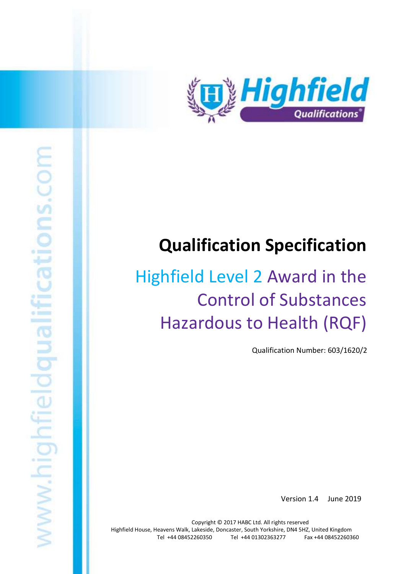

# Highfield Level 2 Award in the Control of Substances Hazardous to Health (RQF) 1

**Qualification Specification** 

# Highfield Level 2 Award in the Control of Substances Hazardous to Health (RQF)

Qualification Number: 603/1620/2

Version 1.4 June 2019

Copyright © 2017 HABC Ltd. All rights reserved Highfield House, Heavens Walk, Lakeside, Doncaster, South Yorkshire, DN4 5HZ, United Kingdom Tel +44 08452260350 Tel +44 01302363277 Fax +44 08452260360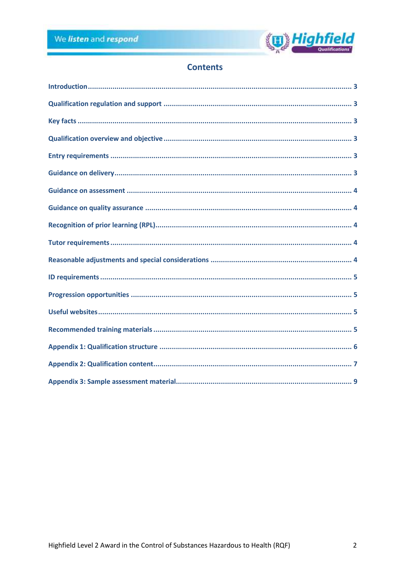

# **Contents**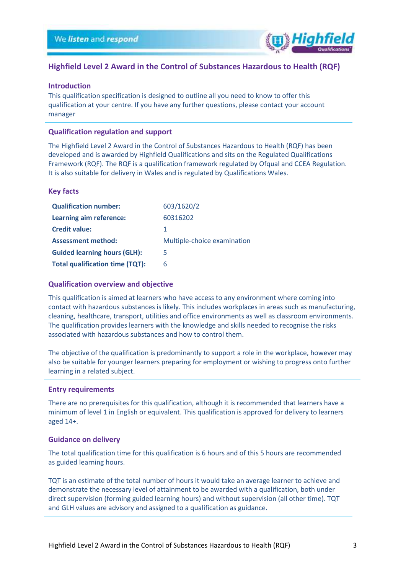

### **Highfield Level 2 Award in the Control of Substances Hazardous to Health (RQF)**

### <span id="page-2-0"></span>**Introduction**

This qualification specification is designed to outline all you need to know to offer this qualification at your centre. If you have any further questions, please contact your account manager

### <span id="page-2-1"></span>**Qualification regulation and support**

The Highfield Level 2 Award in the Control of Substances Hazardous to Health (RQF) has been developed and is awarded by Highfield Qualifications and sits on the Regulated Qualifications Framework (RQF). The RQF is a qualification framework regulated by Ofqual and CCEA Regulation. It is also suitable for delivery in Wales and is regulated by Qualifications Wales.

### <span id="page-2-2"></span>**Key facts**

| <b>Qualification number:</b>           | 603/1620/2                  |
|----------------------------------------|-----------------------------|
| Learning aim reference:                | 60316202                    |
| <b>Credit value:</b>                   | 1                           |
| <b>Assessment method:</b>              | Multiple-choice examination |
| <b>Guided learning hours (GLH):</b>    | 5                           |
| <b>Total qualification time (TQT):</b> | 6                           |

### <span id="page-2-3"></span>**Qualification overview and objective**

This qualification is aimed at learners who have access to any environment where coming into contact with hazardous substances is likely. This includes workplaces in areas such as manufacturing, cleaning, healthcare, transport, utilities and office environments as well as classroom environments. The qualification provides learners with the knowledge and skills needed to recognise the risks associated with hazardous substances and how to control them.

The objective of the qualification is predominantly to support a role in the workplace, however may also be suitable for younger learners preparing for employment or wishing to progress onto further learning in a related subject.

### <span id="page-2-4"></span>**Entry requirements**

There are no prerequisites for this qualification, although it is recommended that learners have a minimum of level 1 in English or equivalent. This qualification is approved for delivery to learners aged 14+.

### <span id="page-2-5"></span>**Guidance on delivery**

The total qualification time for this qualification is 6 hours and of this 5 hours are recommended as guided learning hours.

TQT is an estimate of the total number of hours it would take an average learner to achieve and demonstrate the necessary level of attainment to be awarded with a qualification, both under direct supervision (forming guided learning hours) and without supervision (all other time). TQT and GLH values are advisory and assigned to a qualification as guidance.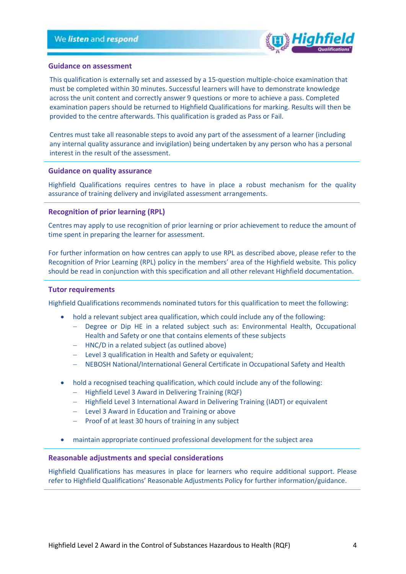

### <span id="page-3-0"></span>**Guidance on assessment**

This qualification is externally set and assessed by a 15-question multiple-choice examination that must be completed within 30 minutes. Successful learners will have to demonstrate knowledge across the unit content and correctly answer 9 questions or more to achieve a pass. Completed examination papers should be returned to Highfield Qualifications for marking. Results will then be provided to the centre afterwards. This qualification is graded as Pass or Fail.

Centres must take all reasonable steps to avoid any part of the assessment of a learner (including any internal quality assurance and invigilation) being undertaken by any person who has a personal interest in the result of the assessment.

### <span id="page-3-1"></span>**Guidance on quality assurance**

Highfield Qualifications requires centres to have in place a robust mechanism for the quality assurance of training delivery and invigilated assessment arrangements.

### <span id="page-3-2"></span>**Recognition of prior learning (RPL)**

Centres may apply to use recognition of prior learning or prior achievement to reduce the amount of time spent in preparing the learner for assessment.

For further information on how centres can apply to use RPL as described above, please refer to the Recognition of Prior Learning (RPL) policy in the members' area of the Highfield website. This policy should be read in conjunction with this specification and all other relevant Highfield documentation.

### <span id="page-3-3"></span>**Tutor requirements**

Highfield Qualifications recommends nominated tutors for this qualification to meet the following:

- hold a relevant subject area qualification, which could include any of the following:
	- − Degree or Dip HE in a related subject such as: Environmental Health, Occupational Health and Safety or one that contains elements of these subjects
	- − HNC/D in a related subject (as outlined above)
	- − Level 3 qualification in Health and Safety or equivalent;
	- − NEBOSH National/International General Certificate in Occupational Safety and Health
- hold a recognised teaching qualification, which could include any of the following:
	- − Highfield Level 3 Award in Delivering Training (RQF)
	- − Highfield Level 3 International Award in Delivering Training (IADT) or equivalent
	- − Level 3 Award in Education and Training or above
	- − Proof of at least 30 hours of training in any subject
- maintain appropriate continued professional development for the subject area

### <span id="page-3-4"></span>**Reasonable adjustments and special considerations**

Highfield Qualifications has measures in place for learners who require additional support. Please refer to Highfield Qualifications' Reasonable Adjustments Policy for further information/guidance.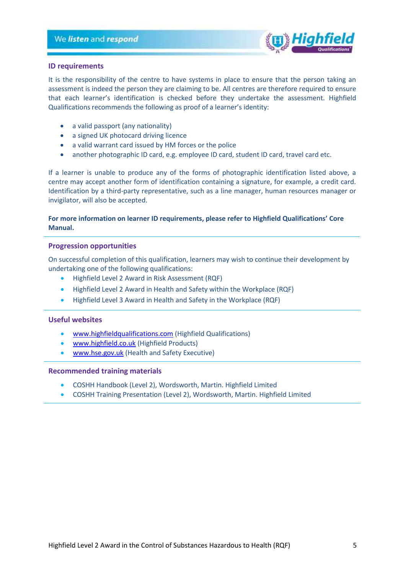

### <span id="page-4-0"></span>**ID requirements**

It is the responsibility of the centre to have systems in place to ensure that the person taking an assessment is indeed the person they are claiming to be. All centres are therefore required to ensure that each learner's identification is checked before they undertake the assessment. Highfield Qualifications recommends the following as proof of a learner's identity:

- a valid passport (any nationality)
- a signed UK photocard driving licence
- a valid warrant card issued by HM forces or the police
- another photographic ID card, e.g. employee ID card, student ID card, travel card etc.

If a learner is unable to produce any of the forms of photographic identification listed above, a centre may accept another form of identification containing a signature, for example, a credit card. Identification by a third-party representative, such as a line manager, human resources manager or invigilator, will also be accepted.

### **For more information on learner ID requirements, please refer to Highfield Qualifications' Core Manual.**

### <span id="page-4-1"></span>**Progression opportunities**

On successful completion of this qualification, learners may wish to continue their development by undertaking one of the following qualifications:

- Highfield Level 2 Award in Risk Assessment (RQF)
- Highfield Level 2 Award in Health and Safety within the Workplace (RQF)
- Highfield Level 3 Award in Health and Safety in the Workplace (RQF)

### <span id="page-4-2"></span>**Useful websites**

- [www.highfieldqualifications.com](http://www.highfieldqualifications.com/) (Highfield Qualifications)
- [www.highfield.co.uk](http://www.highfield.co.uk/) (Highfield Products)
- [www.hse.gov.uk](http://www.hse.gov.uk/) (Health and Safety Executive)

### <span id="page-4-3"></span>**Recommended training materials**

- COSHH Handbook (Level 2), Wordsworth, Martin. Highfield Limited
- COSHH Training Presentation (Level 2), Wordsworth, Martin. Highfield Limited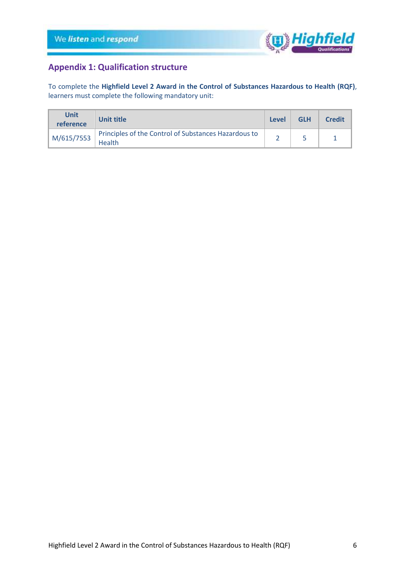

# <span id="page-5-0"></span>**Appendix 1: Qualification structure**

To complete the **Highfield Level 2 Award in the Control of Substances Hazardous to Health (RQF)**, learners must complete the following mandatory unit:

| <b>Unit</b><br>reference | Unit title                                                     | Level | <b>GLH</b> | <b>Credit</b> |
|--------------------------|----------------------------------------------------------------|-------|------------|---------------|
| M/615/7553               | Principles of the Control of Substances Hazardous to<br>Health |       |            |               |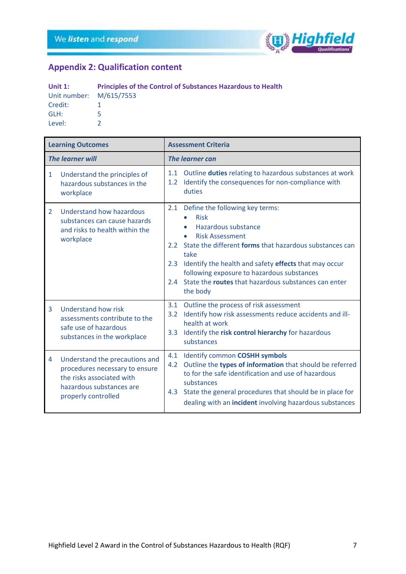

# <span id="page-6-0"></span>**Appendix 2: Qualification content**

| Unit $1$ :              | <b>Principles of the Control of Substances Hazardous to Health</b> |
|-------------------------|--------------------------------------------------------------------|
| Unit number: M/615/7553 |                                                                    |
| Credit:                 |                                                                    |
| GLH:                    | ь.                                                                 |
| Level:                  |                                                                    |

| <b>Learning Outcomes</b> |                                                                                                                                                  | <b>Assessment Criteria</b> |                                                                                                                                                                                                                                                                                                                                                                         |  |
|--------------------------|--------------------------------------------------------------------------------------------------------------------------------------------------|----------------------------|-------------------------------------------------------------------------------------------------------------------------------------------------------------------------------------------------------------------------------------------------------------------------------------------------------------------------------------------------------------------------|--|
| <b>The learner will</b>  |                                                                                                                                                  | <b>The learner can</b>     |                                                                                                                                                                                                                                                                                                                                                                         |  |
| $\mathbf{1}$             | Understand the principles of<br>hazardous substances in the<br>workplace                                                                         | 1.1<br>1.2                 | Outline duties relating to hazardous substances at work<br>Identify the consequences for non-compliance with<br>duties                                                                                                                                                                                                                                                  |  |
| $\overline{2}$           | Understand how hazardous<br>substances can cause hazards<br>and risks to health within the<br>workplace                                          | 2.1<br>2.4                 | Define the following key terms:<br><b>Risk</b><br>$\bullet$<br>Hazardous substance<br><b>Risk Assessment</b><br>٠<br>2.2 State the different forms that hazardous substances can<br>take<br>2.3 Identify the health and safety effects that may occur<br>following exposure to hazardous substances<br>State the routes that hazardous substances can enter<br>the body |  |
| 3                        | Understand how risk<br>assessments contribute to the<br>safe use of hazardous<br>substances in the workplace                                     | 3.1<br>3.2<br>3.3          | Outline the process of risk assessment<br>Identify how risk assessments reduce accidents and ill-<br>health at work<br>Identify the risk control hierarchy for hazardous<br>substances                                                                                                                                                                                  |  |
| 4                        | Understand the precautions and<br>procedures necessary to ensure<br>the risks associated with<br>hazardous substances are<br>properly controlled | 4.1<br>4.2                 | Identify common COSHH symbols<br>Outline the types of information that should be referred<br>to for the safe identification and use of hazardous<br>substances<br>4.3 State the general procedures that should be in place for<br>dealing with an incident involving hazardous substances                                                                               |  |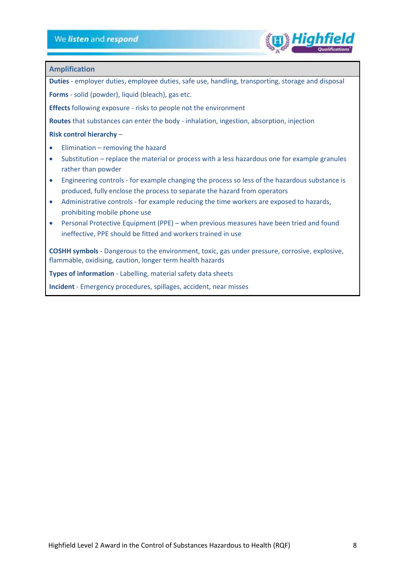

### **Amplification**

**Duties** - employer duties, employee duties, safe use, handling, transporting, storage and disposal

**Forms** - solid (powder), liquid (bleach), gas etc.

**Effects** following exposure - risks to people not the environment

**Routes** that substances can enter the body - inhalation, ingestion, absorption, injection

### **Risk control hierarchy** –

- $Elimination removing the hazard$
- Substitution replace the material or process with a less hazardous one for example granules rather than powder
- Engineering controls for example changing the process so less of the hazardous substance is produced, fully enclose the process to separate the hazard from operators
- Administrative controls for example reducing the time workers are exposed to hazards, prohibiting mobile phone use
- Personal Protective Equipment (PPE) when previous measures have been tried and found ineffective, PPE should be fitted and workers trained in use

**COSHH symbols** - Dangerous to the environment, toxic, gas under pressure, corrosive, explosive, flammable, oxidising, caution, longer term health hazards

**Types of information** - Labelling, material safety data sheets

**Incident** - Emergency procedures, spillages, accident, near misses